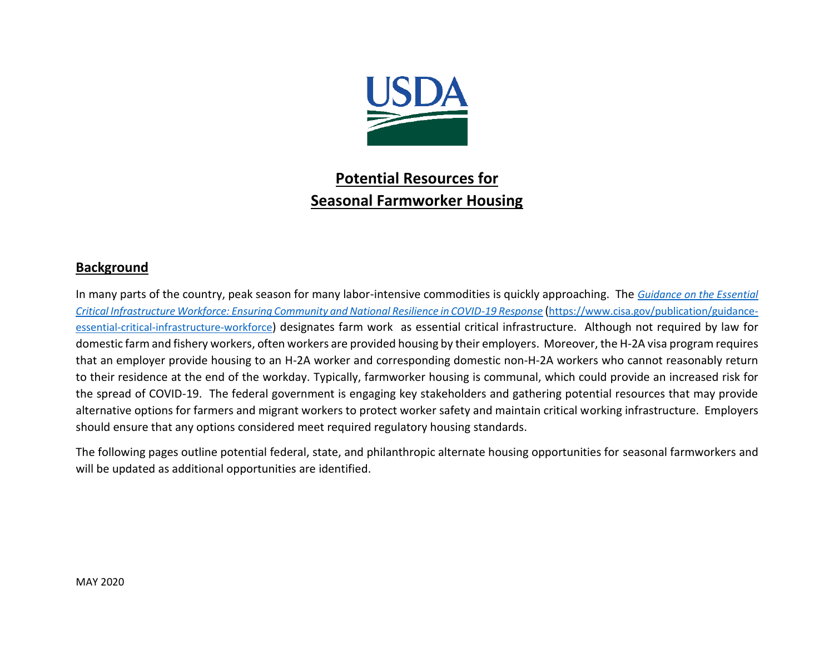

## **Potential Resources for Seasonal Farmworker Housing**

## **Background**

In many parts of the country, peak season for many labor-intensive commodities is quickly approaching. The *[Guidance on the Essential](https://www.cisa.gov/sites/default/files/publications/Version_3.0_CISA_Guidance_on_Essential_Critical_Infrastructure_Workers_4.pdf)  [Critical Infrastructure Workforce: Ensuring Community and National Resilience in COVID-19 Response](https://www.cisa.gov/sites/default/files/publications/Version_3.0_CISA_Guidance_on_Essential_Critical_Infrastructure_Workers_4.pdf)* ([https://www.cisa.gov/publication/guidance](https://www.cisa.gov/publication/guidance-essential-critical-infrastructure-workforce)[essential-critical-infrastructure-workforce](https://www.cisa.gov/publication/guidance-essential-critical-infrastructure-workforce)) designates farm work as essential critical infrastructure. Although not required by law for domestic farm and fishery workers, often workers are provided housing by their employers. Moreover, the H-2A visa program requires that an employer provide housing to an H-2A worker and corresponding domestic non-H-2A workers who cannot reasonably return to their residence at the end of the workday. Typically, farmworker housing is communal, which could provide an increased risk for the spread of COVID-19. The federal government is engaging key stakeholders and gathering potential resources that may provide alternative options for farmers and migrant workers to protect worker safety and maintain critical working infrastructure. Employers should ensure that any options considered meet required regulatory housing standards.

The following pages outline potential federal, state, and philanthropic alternate housing opportunities for seasonal farmworkers and will be updated as additional opportunities are identified.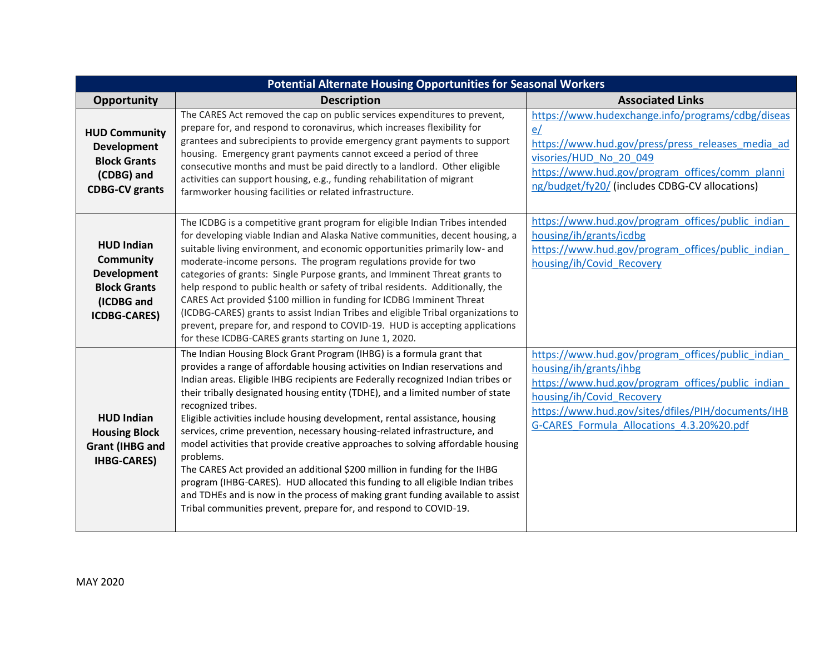| <b>Potential Alternate Housing Opportunities for Seasonal Workers</b>                                                   |                                                                                                                                                                                                                                                                                                                                                                                                                                                                                                                                                                                                                                                                                                                                                                                                                                                                                                                                       |                                                                                                                                                                                                                                                                  |  |  |
|-------------------------------------------------------------------------------------------------------------------------|---------------------------------------------------------------------------------------------------------------------------------------------------------------------------------------------------------------------------------------------------------------------------------------------------------------------------------------------------------------------------------------------------------------------------------------------------------------------------------------------------------------------------------------------------------------------------------------------------------------------------------------------------------------------------------------------------------------------------------------------------------------------------------------------------------------------------------------------------------------------------------------------------------------------------------------|------------------------------------------------------------------------------------------------------------------------------------------------------------------------------------------------------------------------------------------------------------------|--|--|
| Opportunity                                                                                                             | <b>Description</b>                                                                                                                                                                                                                                                                                                                                                                                                                                                                                                                                                                                                                                                                                                                                                                                                                                                                                                                    | <b>Associated Links</b>                                                                                                                                                                                                                                          |  |  |
| <b>HUD Community</b><br><b>Development</b><br><b>Block Grants</b><br>(CDBG) and<br><b>CDBG-CV grants</b>                | The CARES Act removed the cap on public services expenditures to prevent,<br>prepare for, and respond to coronavirus, which increases flexibility for<br>grantees and subrecipients to provide emergency grant payments to support<br>housing. Emergency grant payments cannot exceed a period of three<br>consecutive months and must be paid directly to a landlord. Other eligible<br>activities can support housing, e.g., funding rehabilitation of migrant<br>farmworker housing facilities or related infrastructure.                                                                                                                                                                                                                                                                                                                                                                                                          | https://www.hudexchange.info/programs/cdbg/diseas<br>e/<br>https://www.hud.gov/press/press_releases_media_ad<br>visories/HUD No 20 049<br>https://www.hud.gov/program offices/comm planni<br>ng/budget/fy20/ (includes CDBG-CV allocations)                      |  |  |
| <b>HUD Indian</b><br><b>Community</b><br><b>Development</b><br><b>Block Grants</b><br>(ICDBG and<br><b>ICDBG-CARES)</b> | The ICDBG is a competitive grant program for eligible Indian Tribes intended<br>for developing viable Indian and Alaska Native communities, decent housing, a<br>suitable living environment, and economic opportunities primarily low- and<br>moderate-income persons. The program regulations provide for two<br>categories of grants: Single Purpose grants, and Imminent Threat grants to<br>help respond to public health or safety of tribal residents. Additionally, the<br>CARES Act provided \$100 million in funding for ICDBG Imminent Threat<br>(ICDBG-CARES) grants to assist Indian Tribes and eligible Tribal organizations to<br>prevent, prepare for, and respond to COVID-19. HUD is accepting applications<br>for these ICDBG-CARES grants starting on June 1, 2020.                                                                                                                                               | https://www.hud.gov/program offices/public indian<br>housing/ih/grants/icdbg<br>https://www.hud.gov/program_offices/public_indian_<br>housing/ih/Covid Recovery                                                                                                  |  |  |
| <b>HUD Indian</b><br><b>Housing Block</b><br><b>Grant (IHBG and</b><br><b>IHBG-CARES)</b>                               | The Indian Housing Block Grant Program (IHBG) is a formula grant that<br>provides a range of affordable housing activities on Indian reservations and<br>Indian areas. Eligible IHBG recipients are Federally recognized Indian tribes or<br>their tribally designated housing entity (TDHE), and a limited number of state<br>recognized tribes.<br>Eligible activities include housing development, rental assistance, housing<br>services, crime prevention, necessary housing-related infrastructure, and<br>model activities that provide creative approaches to solving affordable housing<br>problems.<br>The CARES Act provided an additional \$200 million in funding for the IHBG<br>program (IHBG-CARES). HUD allocated this funding to all eligible Indian tribes<br>and TDHEs and is now in the process of making grant funding available to assist<br>Tribal communities prevent, prepare for, and respond to COVID-19. | https://www.hud.gov/program offices/public indian<br>housing/ih/grants/ihbg<br>https://www.hud.gov/program offices/public indian<br>housing/ih/Covid Recovery<br>https://www.hud.gov/sites/dfiles/PIH/documents/IHB<br>G-CARES Formula Allocations 4.3.20%20.pdf |  |  |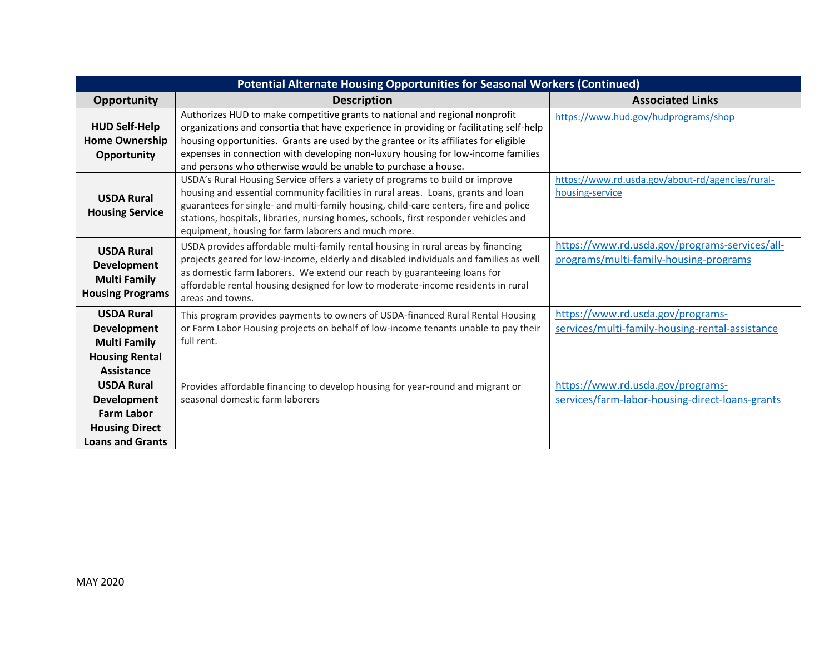| <b>Potential Alternate Housing Opportunities for Seasonal Workers (Continued)</b>                                |                                                                                                                                                                                                                                                                                                                                                                                                                        |                                                                                          |  |  |
|------------------------------------------------------------------------------------------------------------------|------------------------------------------------------------------------------------------------------------------------------------------------------------------------------------------------------------------------------------------------------------------------------------------------------------------------------------------------------------------------------------------------------------------------|------------------------------------------------------------------------------------------|--|--|
| Opportunity                                                                                                      | <b>Description</b>                                                                                                                                                                                                                                                                                                                                                                                                     | <b>Associated Links</b>                                                                  |  |  |
| <b>HUD Self-Help</b><br><b>Home Ownership</b><br>Opportunity                                                     | Authorizes HUD to make competitive grants to national and regional nonprofit<br>organizations and consortia that have experience in providing or facilitating self-help<br>housing opportunities. Grants are used by the grantee or its affiliates for eligible<br>expenses in connection with developing non-luxury housing for low-income families<br>and persons who otherwise would be unable to purchase a house. | https://www.hud.gov/hudprograms/shop                                                     |  |  |
| <b>USDA Rural</b><br><b>Housing Service</b>                                                                      | USDA's Rural Housing Service offers a variety of programs to build or improve<br>housing and essential community facilities in rural areas. Loans, grants and loan<br>guarantees for single- and multi-family housing, child-care centers, fire and police<br>stations, hospitals, libraries, nursing homes, schools, first responder vehicles and<br>equipment, housing for farm laborers and much more.              | https://www.rd.usda.gov/about-rd/agencies/rural-<br>housing-service                      |  |  |
| <b>USDA Rural</b><br><b>Development</b><br><b>Multi Family</b><br><b>Housing Programs</b>                        | USDA provides affordable multi-family rental housing in rural areas by financing<br>projects geared for low-income, elderly and disabled individuals and families as well<br>as domestic farm laborers. We extend our reach by guaranteeing loans for<br>affordable rental housing designed for low to moderate-income residents in rural<br>areas and towns.                                                          | https://www.rd.usda.gov/programs-services/all-<br>programs/multi-family-housing-programs |  |  |
| <b>USDA Rural</b><br><b>Development</b><br><b>Multi Family</b><br><b>Housing Rental</b><br>Assistance            | This program provides payments to owners of USDA-financed Rural Rental Housing<br>or Farm Labor Housing projects on behalf of low-income tenants unable to pay their<br>full rent.                                                                                                                                                                                                                                     | https://www.rd.usda.gov/programs-<br>services/multi-family-housing-rental-assistance     |  |  |
| <b>USDA Rural</b><br><b>Development</b><br><b>Farm Labor</b><br><b>Housing Direct</b><br><b>Loans and Grants</b> | Provides affordable financing to develop housing for year-round and migrant or<br>seasonal domestic farm laborers                                                                                                                                                                                                                                                                                                      | https://www.rd.usda.gov/programs-<br>services/farm-labor-housing-direct-loans-grants     |  |  |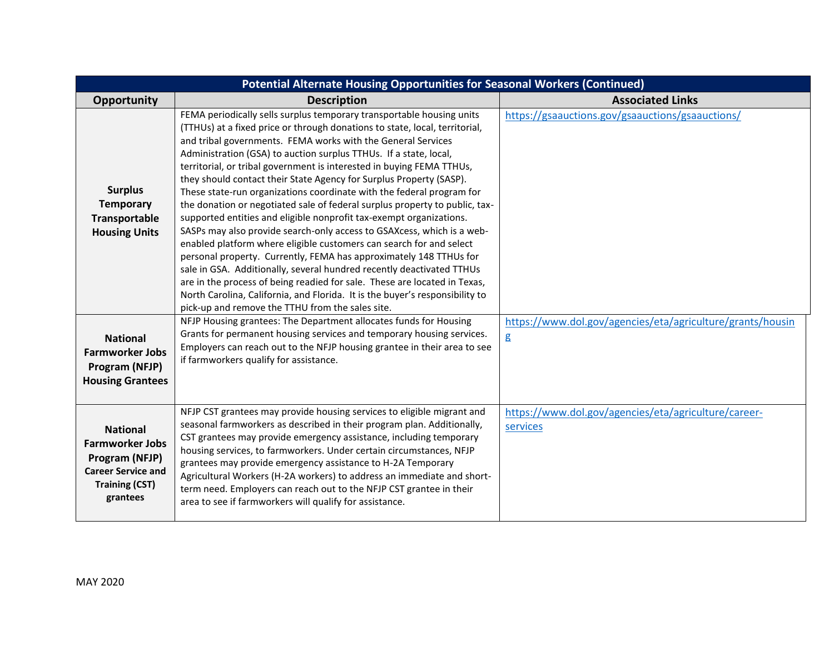| <b>Potential Alternate Housing Opportunities for Seasonal Workers (Continued)</b>                                             |                                                                                                                                                                                                                                                                                                                                                                                                                                                                                                                                                                                                                                                                                                                                                                                                                                                                                                                                                                                                                                                                                                                                                                                           |                                                                  |  |  |
|-------------------------------------------------------------------------------------------------------------------------------|-------------------------------------------------------------------------------------------------------------------------------------------------------------------------------------------------------------------------------------------------------------------------------------------------------------------------------------------------------------------------------------------------------------------------------------------------------------------------------------------------------------------------------------------------------------------------------------------------------------------------------------------------------------------------------------------------------------------------------------------------------------------------------------------------------------------------------------------------------------------------------------------------------------------------------------------------------------------------------------------------------------------------------------------------------------------------------------------------------------------------------------------------------------------------------------------|------------------------------------------------------------------|--|--|
| Opportunity                                                                                                                   | <b>Description</b>                                                                                                                                                                                                                                                                                                                                                                                                                                                                                                                                                                                                                                                                                                                                                                                                                                                                                                                                                                                                                                                                                                                                                                        | <b>Associated Links</b>                                          |  |  |
| <b>Surplus</b><br><b>Temporary</b><br>Transportable<br><b>Housing Units</b>                                                   | FEMA periodically sells surplus temporary transportable housing units<br>(TTHUs) at a fixed price or through donations to state, local, territorial,<br>and tribal governments. FEMA works with the General Services<br>Administration (GSA) to auction surplus TTHUs. If a state, local,<br>territorial, or tribal government is interested in buying FEMA TTHUs,<br>they should contact their State Agency for Surplus Property (SASP).<br>These state-run organizations coordinate with the federal program for<br>the donation or negotiated sale of federal surplus property to public, tax-<br>supported entities and eligible nonprofit tax-exempt organizations.<br>SASPs may also provide search-only access to GSAXcess, which is a web-<br>enabled platform where eligible customers can search for and select<br>personal property. Currently, FEMA has approximately 148 TTHUs for<br>sale in GSA. Additionally, several hundred recently deactivated TTHUs<br>are in the process of being readied for sale. These are located in Texas,<br>North Carolina, California, and Florida. It is the buyer's responsibility to<br>pick-up and remove the TTHU from the sales site. | https://gsaauctions.gov/gsaauctions/gsaauctions/                 |  |  |
| <b>National</b><br><b>Farmworker Jobs</b><br>Program (NFJP)<br><b>Housing Grantees</b>                                        | NFJP Housing grantees: The Department allocates funds for Housing<br>Grants for permanent housing services and temporary housing services.<br>Employers can reach out to the NFJP housing grantee in their area to see<br>if farmworkers qualify for assistance.                                                                                                                                                                                                                                                                                                                                                                                                                                                                                                                                                                                                                                                                                                                                                                                                                                                                                                                          | https://www.dol.gov/agencies/eta/agriculture/grants/housin<br>g  |  |  |
| <b>National</b><br><b>Farmworker Jobs</b><br>Program (NFJP)<br><b>Career Service and</b><br><b>Training (CST)</b><br>grantees | NFJP CST grantees may provide housing services to eligible migrant and<br>seasonal farmworkers as described in their program plan. Additionally,<br>CST grantees may provide emergency assistance, including temporary<br>housing services, to farmworkers. Under certain circumstances, NFJP<br>grantees may provide emergency assistance to H-2A Temporary<br>Agricultural Workers (H-2A workers) to address an immediate and short-<br>term need. Employers can reach out to the NFJP CST grantee in their<br>area to see if farmworkers will qualify for assistance.                                                                                                                                                                                                                                                                                                                                                                                                                                                                                                                                                                                                                  | https://www.dol.gov/agencies/eta/agriculture/career-<br>services |  |  |